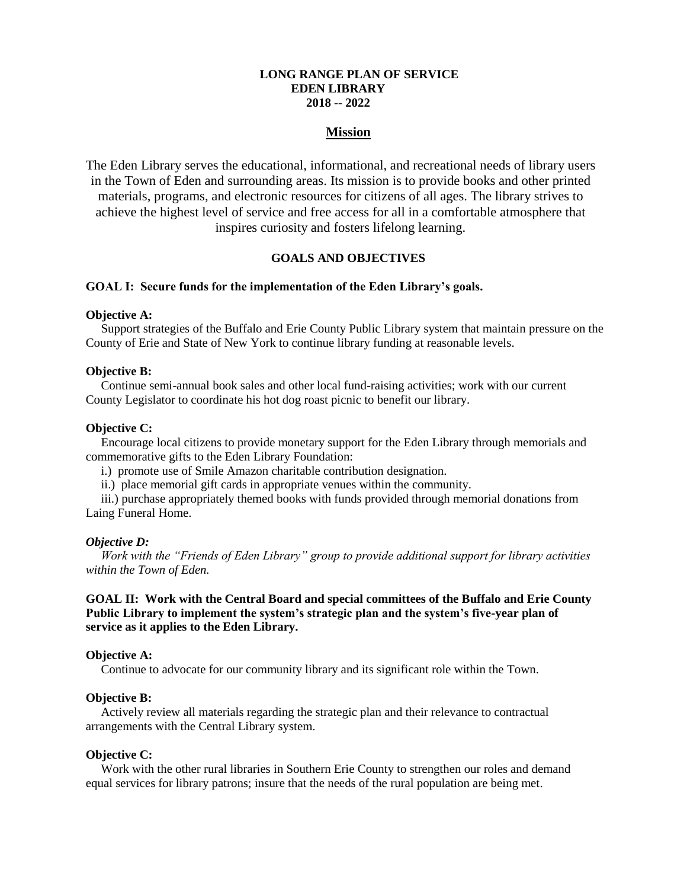## **LONG RANGE PLAN OF SERVICE EDEN LIBRARY 2018 -- 2022**

## **Mission**

The Eden Library serves the educational, informational, and recreational needs of library users in the Town of Eden and surrounding areas. Its mission is to provide books and other printed materials, programs, and electronic resources for citizens of all ages. The library strives to achieve the highest level of service and free access for all in a comfortable atmosphere that inspires curiosity and fosters lifelong learning.

## **GOALS AND OBJECTIVES**

### **GOAL I: Secure funds for the implementation of the Eden Library's goals.**

### **Objective A:**

Support strategies of the Buffalo and Erie County Public Library system that maintain pressure on the County of Erie and State of New York to continue library funding at reasonable levels.

## **Objective B:**

Continue semi-annual book sales and other local fund-raising activities; work with our current County Legislator to coordinate his hot dog roast picnic to benefit our library.

#### **Objective C:**

Encourage local citizens to provide monetary support for the Eden Library through memorials and commemorative gifts to the Eden Library Foundation:

- i.) promote use of Smile Amazon charitable contribution designation.
- ii.) place memorial gift cards in appropriate venues within the community.

iii.) purchase appropriately themed books with funds provided through memorial donations from Laing Funeral Home.

#### *Objective D:*

*Work with the "Friends of Eden Library" group to provide additional support for library activities within the Town of Eden.*

## **GOAL II: Work with the Central Board and special committees of the Buffalo and Erie County Public Library to implement the system's strategic plan and the system's five-year plan of service as it applies to the Eden Library.**

### **Objective A:**

Continue to advocate for our community library and its significant role within the Town.

## **Objective B:**

Actively review all materials regarding the strategic plan and their relevance to contractual arrangements with the Central Library system.

#### **Objective C:**

Work with the other rural libraries in Southern Erie County to strengthen our roles and demand equal services for library patrons; insure that the needs of the rural population are being met.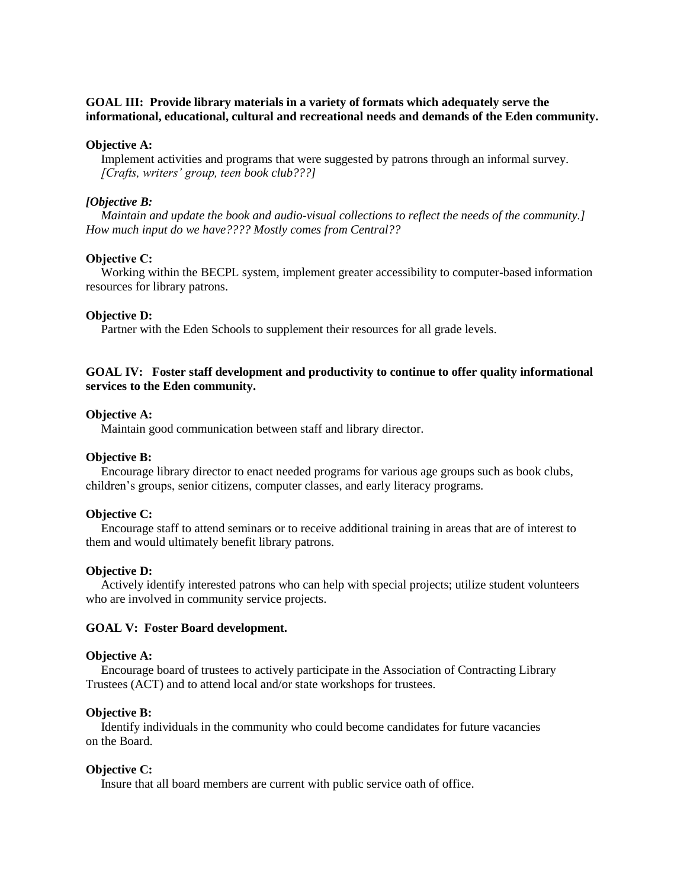# **GOAL III: Provide library materials in a variety of formats which adequately serve the informational, educational, cultural and recreational needs and demands of the Eden community.**

### **Objective A:**

Implement activities and programs that were suggested by patrons through an informal survey. *[Crafts, writers' group, teen book club???]*

### *[Objective B:*

*Maintain and update the book and audio-visual collections to reflect the needs of the community.] How much input do we have???? Mostly comes from Central??*

### **Objective C:**

Working within the BECPL system, implement greater accessibility to computer-based information resources for library patrons.

### **Objective D:**

Partner with the Eden Schools to supplement their resources for all grade levels.

# **GOAL IV: Foster staff development and productivity to continue to offer quality informational services to the Eden community.**

### **Objective A:**

Maintain good communication between staff and library director.

# **Objective B:**

Encourage library director to enact needed programs for various age groups such as book clubs, children's groups, senior citizens, computer classes, and early literacy programs.

## **Objective C:**

Encourage staff to attend seminars or to receive additional training in areas that are of interest to them and would ultimately benefit library patrons.

#### **Objective D:**

Actively identify interested patrons who can help with special projects; utilize student volunteers who are involved in community service projects.

#### **GOAL V: Foster Board development.**

#### **Objective A:**

Encourage board of trustees to actively participate in the Association of Contracting Library Trustees (ACT) and to attend local and/or state workshops for trustees.

### **Objective B:**

Identify individuals in the community who could become candidates for future vacancies on the Board.

#### **Objective C:**

Insure that all board members are current with public service oath of office.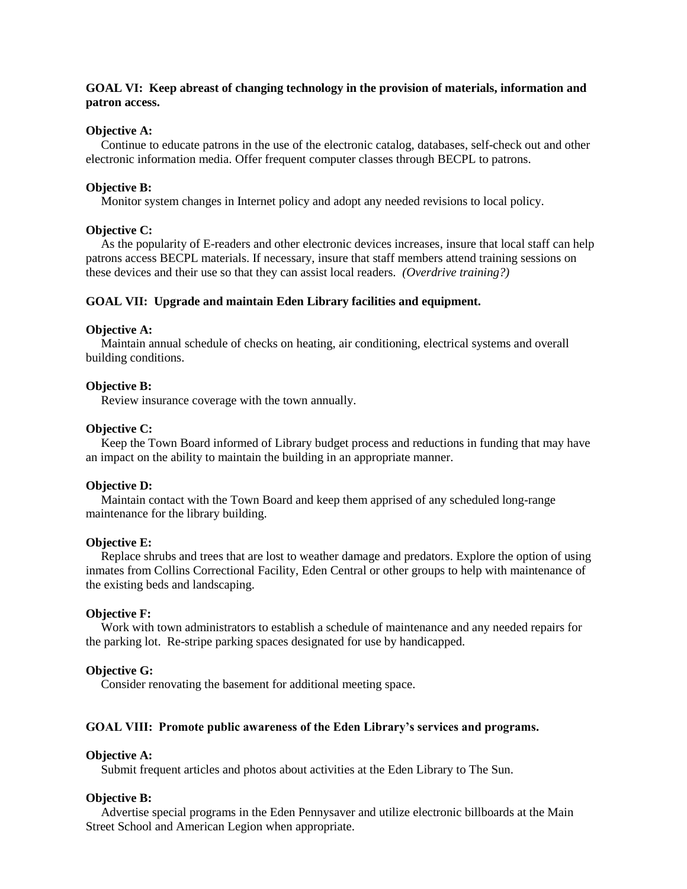## **GOAL VI: Keep abreast of changing technology in the provision of materials, information and patron access.**

### **Objective A:**

Continue to educate patrons in the use of the electronic catalog, databases, self-check out and other electronic information media. Offer frequent computer classes through BECPL to patrons.

#### **Objective B:**

Monitor system changes in Internet policy and adopt any needed revisions to local policy.

### **Objective C:**

As the popularity of E-readers and other electronic devices increases, insure that local staff can help patrons access BECPL materials. If necessary, insure that staff members attend training sessions on these devices and their use so that they can assist local readers. *(Overdrive training?)*

### **GOAL VII: Upgrade and maintain Eden Library facilities and equipment.**

#### **Objective A:**

Maintain annual schedule of checks on heating, air conditioning, electrical systems and overall building conditions.

#### **Objective B:**

Review insurance coverage with the town annually.

### **Objective C:**

Keep the Town Board informed of Library budget process and reductions in funding that may have an impact on the ability to maintain the building in an appropriate manner.

#### **Objective D:**

Maintain contact with the Town Board and keep them apprised of any scheduled long-range maintenance for the library building.

#### **Objective E:**

Replace shrubs and trees that are lost to weather damage and predators. Explore the option of using inmates from Collins Correctional Facility, Eden Central or other groups to help with maintenance of the existing beds and landscaping.

#### **Objective F:**

Work with town administrators to establish a schedule of maintenance and any needed repairs for the parking lot. Re-stripe parking spaces designated for use by handicapped.

#### **Objective G:**

Consider renovating the basement for additional meeting space.

### **GOAL VIII: Promote public awareness of the Eden Library's services and programs.**

### **Objective A:**

Submit frequent articles and photos about activities at the Eden Library to The Sun.

### **Objective B:**

Advertise special programs in the Eden Pennysaver and utilize electronic billboards at the Main Street School and American Legion when appropriate.